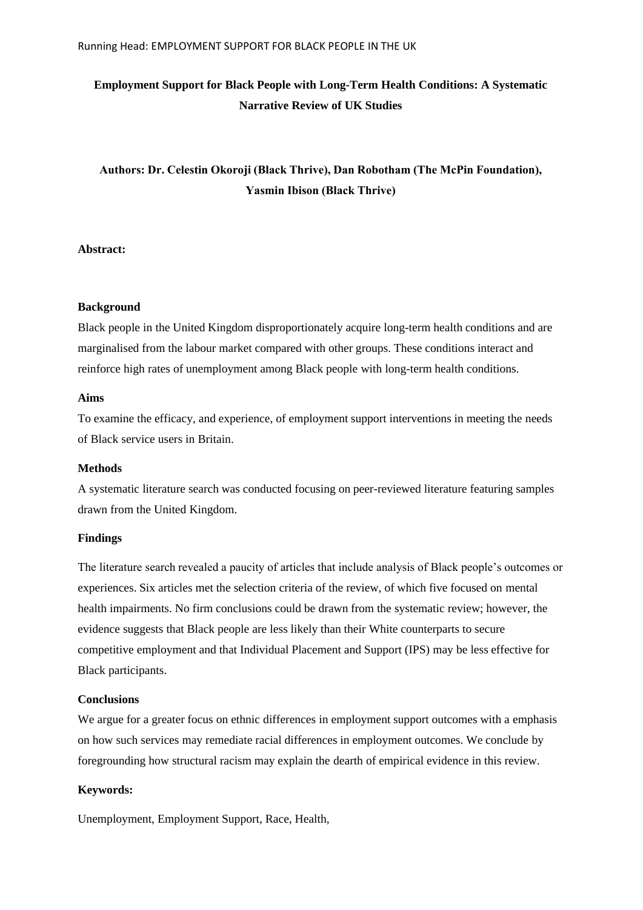# **Employment Support for Black People with Long-Term Health Conditions: A Systematic Narrative Review of UK Studies**

# **Authors: Dr. Celestin Okoroji (Black Thrive), Dan Robotham (The McPin Foundation), Yasmin Ibison (Black Thrive)**

# **Abstract:**

# **Background**

Black people in the United Kingdom disproportionately acquire long-term health conditions and are marginalised from the labour market compared with other groups. These conditions interact and reinforce high rates of unemployment among Black people with long-term health conditions.

# **Aims**

To examine the efficacy, and experience, of employment support interventions in meeting the needs of Black service users in Britain.

### **Methods**

A systematic literature search was conducted focusing on peer-reviewed literature featuring samples drawn from the United Kingdom.

# **Findings**

The literature search revealed a paucity of articles that include analysis of Black people's outcomes or experiences. Six articles met the selection criteria of the review, of which five focused on mental health impairments. No firm conclusions could be drawn from the systematic review; however, the evidence suggests that Black people are less likely than their White counterparts to secure competitive employment and that Individual Placement and Support (IPS) may be less effective for Black participants.

# **Conclusions**

We argue for a greater focus on ethnic differences in employment support outcomes with a emphasis on how such services may remediate racial differences in employment outcomes. We conclude by foregrounding how structural racism may explain the dearth of empirical evidence in this review.

# **Keywords:**

Unemployment, Employment Support, Race, Health,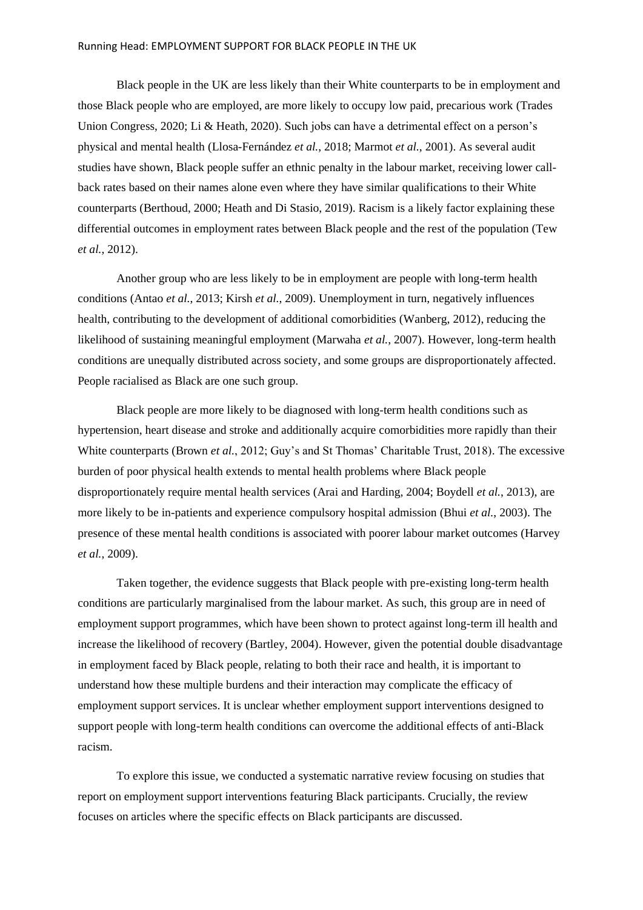#### Running Head: EMPLOYMENT SUPPORT FOR BLACK PEOPLE IN THE UK

Black people in the UK are less likely than their White counterparts to be in employment and those Black people who are employed, are more likely to occupy low paid, precarious work (Trades Union Congress, 2020; Li & Heath, 2020). Such jobs can have a detrimental effect on a person's physical and mental health (Llosa-Fernández *et al.*, 2018; Marmot *et al.*, 2001). As several audit studies have shown, Black people suffer an ethnic penalty in the labour market, receiving lower callback rates based on their names alone even where they have similar qualifications to their White counterparts (Berthoud, 2000; Heath and Di Stasio, 2019). Racism is a likely factor explaining these differential outcomes in employment rates between Black people and the rest of the population (Tew *et al.*, 2012).

Another group who are less likely to be in employment are people with long-term health conditions (Antao *et al.*, 2013; Kirsh *et al.*, 2009). Unemployment in turn, negatively influences health, contributing to the development of additional comorbidities (Wanberg, 2012), reducing the likelihood of sustaining meaningful employment (Marwaha *et al.*, 2007). However, long-term health conditions are unequally distributed across society, and some groups are disproportionately affected. People racialised as Black are one such group.

Black people are more likely to be diagnosed with long-term health conditions such as hypertension, heart disease and stroke and additionally acquire comorbidities more rapidly than their White counterparts (Brown *et al.*, 2012; Guy's and St Thomas' Charitable Trust, 2018). The excessive burden of poor physical health extends to mental health problems where Black people disproportionately require mental health services (Arai and Harding, 2004; Boydell *et al.*, 2013), are more likely to be in-patients and experience compulsory hospital admission (Bhui *et al.*, 2003). The presence of these mental health conditions is associated with poorer labour market outcomes (Harvey *et al.*, 2009).

Taken together, the evidence suggests that Black people with pre-existing long-term health conditions are particularly marginalised from the labour market. As such, this group are in need of employment support programmes, which have been shown to protect against long-term ill health and increase the likelihood of recovery (Bartley, 2004). However, given the potential double disadvantage in employment faced by Black people, relating to both their race and health, it is important to understand how these multiple burdens and their interaction may complicate the efficacy of employment support services. It is unclear whether employment support interventions designed to support people with long-term health conditions can overcome the additional effects of anti-Black racism.

To explore this issue, we conducted a systematic narrative review focusing on studies that report on employment support interventions featuring Black participants. Crucially, the review focuses on articles where the specific effects on Black participants are discussed.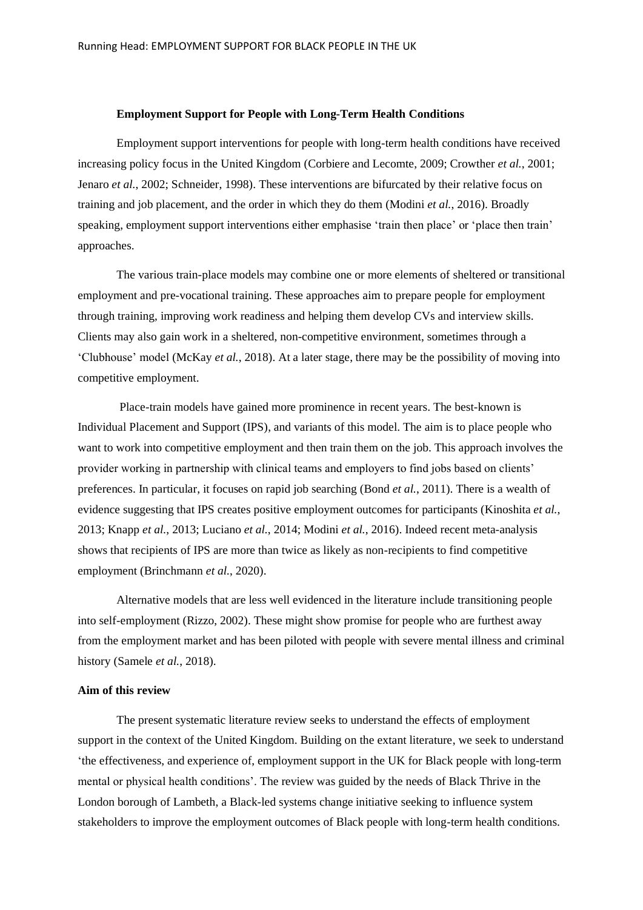### **Employment Support for People with Long-Term Health Conditions**

Employment support interventions for people with long-term health conditions have received increasing policy focus in the United Kingdom (Corbiere and Lecomte, 2009; Crowther *et al.*, 2001; Jenaro *et al.*, 2002; Schneider, 1998). These interventions are bifurcated by their relative focus on training and job placement, and the order in which they do them (Modini *et al.*, 2016). Broadly speaking, employment support interventions either emphasise 'train then place' or 'place then train' approaches.

The various train-place models may combine one or more elements of sheltered or transitional employment and pre-vocational training. These approaches aim to prepare people for employment through training, improving work readiness and helping them develop CVs and interview skills. Clients may also gain work in a sheltered, non-competitive environment, sometimes through a 'Clubhouse' model (McKay *et al.*, 2018). At a later stage, there may be the possibility of moving into competitive employment.

Place-train models have gained more prominence in recent years. The best-known is Individual Placement and Support (IPS), and variants of this model. The aim is to place people who want to work into competitive employment and then train them on the job. This approach involves the provider working in partnership with clinical teams and employers to find jobs based on clients' preferences. In particular, it focuses on rapid job searching (Bond *et al.*, 2011). There is a wealth of evidence suggesting that IPS creates positive employment outcomes for participants (Kinoshita *et al.*, 2013; Knapp *et al.*, 2013; Luciano *et al.*, 2014; Modini *et al.*, 2016). Indeed recent meta-analysis shows that recipients of IPS are more than twice as likely as non-recipients to find competitive employment (Brinchmann *et al.*, 2020).

Alternative models that are less well evidenced in the literature include transitioning people into self-employment (Rizzo, 2002). These might show promise for people who are furthest away from the employment market and has been piloted with people with severe mental illness and criminal history (Samele *et al.*, 2018).

## **Aim of this review**

The present systematic literature review seeks to understand the effects of employment support in the context of the United Kingdom. Building on the extant literature, we seek to understand 'the effectiveness, and experience of, employment support in the UK for Black people with long-term mental or physical health conditions'. The review was guided by the needs of Black Thrive in the London borough of Lambeth, a Black-led systems change initiative seeking to influence system stakeholders to improve the employment outcomes of Black people with long-term health conditions.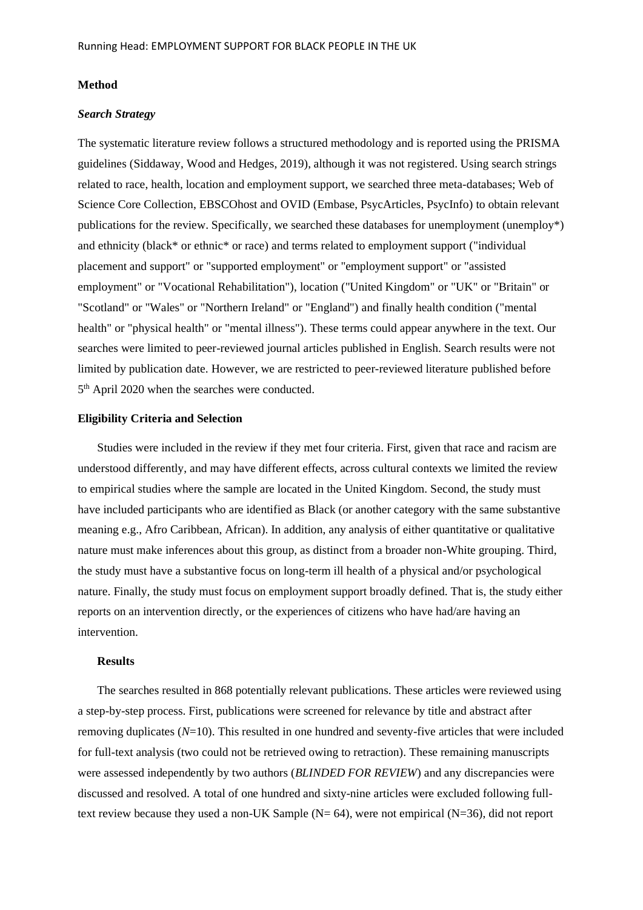#### **Method**

# *Search Strategy*

The systematic literature review follows a structured methodology and is reported using the PRISMA guidelines (Siddaway, Wood and Hedges, 2019), although it was not registered. Using search strings related to race, health, location and employment support, we searched three meta-databases; Web of Science Core Collection, EBSCOhost and OVID (Embase, PsycArticles, PsycInfo) to obtain relevant publications for the review. Specifically, we searched these databases for unemployment (unemploy\*) and ethnicity (black\* or ethnic\* or race) and terms related to employment support ("individual placement and support" or "supported employment" or "employment support" or "assisted employment" or "Vocational Rehabilitation"), location ("United Kingdom" or "UK" or "Britain" or "Scotland" or "Wales" or "Northern Ireland" or "England") and finally health condition ("mental health" or "physical health" or "mental illness"). These terms could appear anywhere in the text. Our searches were limited to peer-reviewed journal articles published in English. Search results were not limited by publication date. However, we are restricted to peer-reviewed literature published before 5<sup>th</sup> April 2020 when the searches were conducted.

#### **Eligibility Criteria and Selection**

Studies were included in the review if they met four criteria. First, given that race and racism are understood differently, and may have different effects, across cultural contexts we limited the review to empirical studies where the sample are located in the United Kingdom. Second, the study must have included participants who are identified as Black (or another category with the same substantive meaning e.g., Afro Caribbean, African). In addition, any analysis of either quantitative or qualitative nature must make inferences about this group, as distinct from a broader non-White grouping. Third, the study must have a substantive focus on long-term ill health of a physical and/or psychological nature. Finally, the study must focus on employment support broadly defined. That is, the study either reports on an intervention directly, or the experiences of citizens who have had/are having an intervention.

#### **Results**

The searches resulted in 868 potentially relevant publications. These articles were reviewed using a step-by-step process. First, publications were screened for relevance by title and abstract after removing duplicates (*N*=10). This resulted in one hundred and seventy-five articles that were included for full-text analysis (two could not be retrieved owing to retraction). These remaining manuscripts were assessed independently by two authors (*BLINDED FOR REVIEW*) and any discrepancies were discussed and resolved. A total of one hundred and sixty-nine articles were excluded following fulltext review because they used a non-UK Sample ( $N = 64$ ), were not empirical ( $N = 36$ ), did not report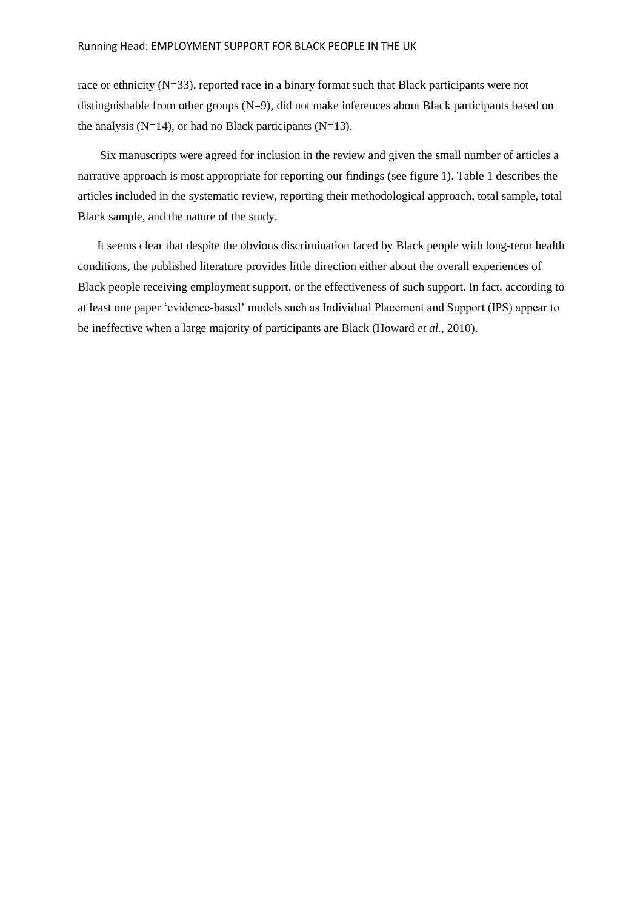race or ethnicity  $(N=33)$ , reported race in a binary format such that Black participants were not distinguishable from other groups (N=9), did not make inferences about Black participants based on the analysis (N=14), or had no Black participants (N=13).

Six manuscripts were agreed for inclusion in the review and given the small number of articles a narrative approach is most appropriate for reporting our findings (see figure 1). Table 1 describes the articles included in the systematic review, reporting their methodological approach, total sample, total Black sample, and the nature of the study.

It seems clear that despite the obvious discrimination faced by Black people with long-term health conditions, the published literature provides little direction either about the overall experiences of Black people receiving employment support, or the effectiveness of such support. In fact, according to at least one paper 'evidence-based' models such as Individual Placement and Support (IPS) appear to be ineffective when a large majority of participants are Black (Howard *et al.*, 2010).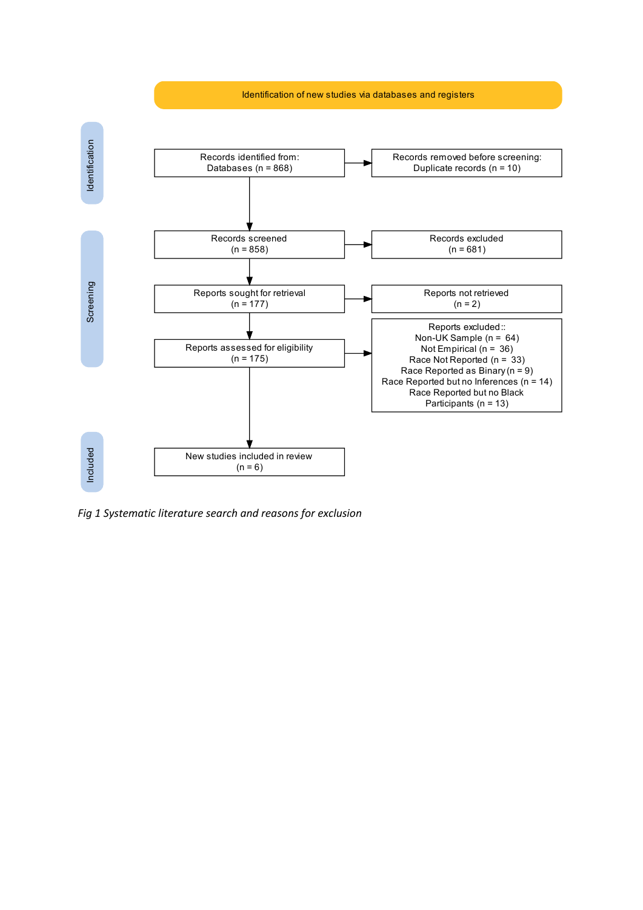

*Fig 1 Systematic literature search and reasons for exclusion*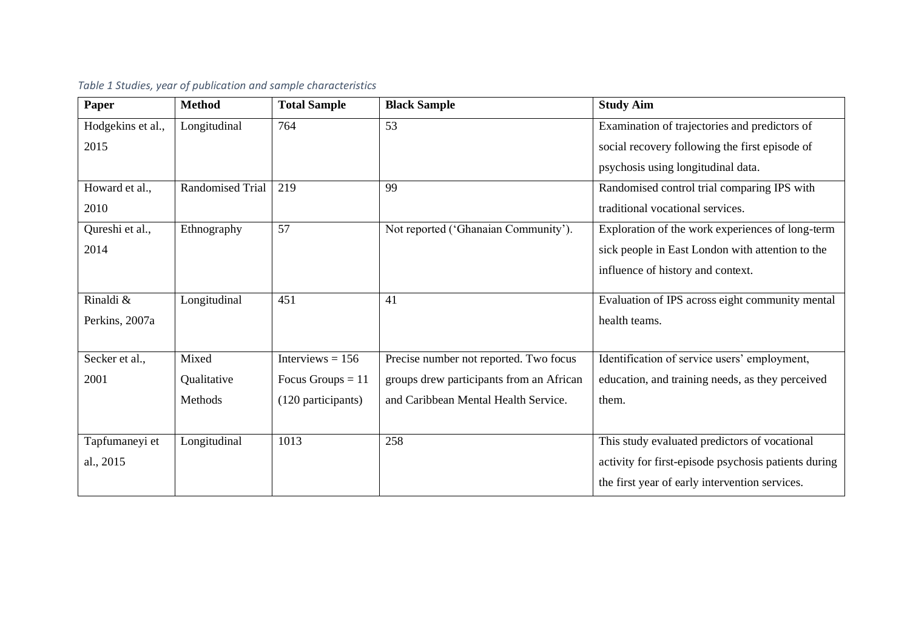| Paper             | <b>Method</b>           | <b>Total Sample</b> | <b>Black Sample</b>                      | <b>Study Aim</b>                                     |
|-------------------|-------------------------|---------------------|------------------------------------------|------------------------------------------------------|
| Hodgekins et al., | Longitudinal            | 764                 | 53                                       | Examination of trajectories and predictors of        |
| 2015              |                         |                     |                                          | social recovery following the first episode of       |
|                   |                         |                     |                                          | psychosis using longitudinal data.                   |
| Howard et al.,    | <b>Randomised Trial</b> | 219                 | 99                                       | Randomised control trial comparing IPS with          |
| 2010              |                         |                     |                                          | traditional vocational services.                     |
| Qureshi et al.,   | Ethnography             | 57                  | Not reported ('Ghanaian Community').     | Exploration of the work experiences of long-term     |
| 2014              |                         |                     |                                          | sick people in East London with attention to the     |
|                   |                         |                     |                                          | influence of history and context.                    |
| Rinaldi &         | Longitudinal            | 451                 | 41                                       | Evaluation of IPS across eight community mental      |
| Perkins, 2007a    |                         |                     |                                          | health teams.                                        |
|                   |                         |                     |                                          |                                                      |
| Secker et al.,    | Mixed                   | Interviews $= 156$  | Precise number not reported. Two focus   | Identification of service users' employment,         |
| 2001              | Qualitative             | Focus Groups $= 11$ | groups drew participants from an African | education, and training needs, as they perceived     |
|                   | Methods                 | (120 participants)  | and Caribbean Mental Health Service.     | them.                                                |
|                   |                         |                     |                                          |                                                      |
| Tapfumaneyi et    | Longitudinal            | 1013                | 258                                      | This study evaluated predictors of vocational        |
| al., 2015         |                         |                     |                                          | activity for first-episode psychosis patients during |
|                   |                         |                     |                                          | the first year of early intervention services.       |

# *Table 1 Studies, year of publication and sample characteristics*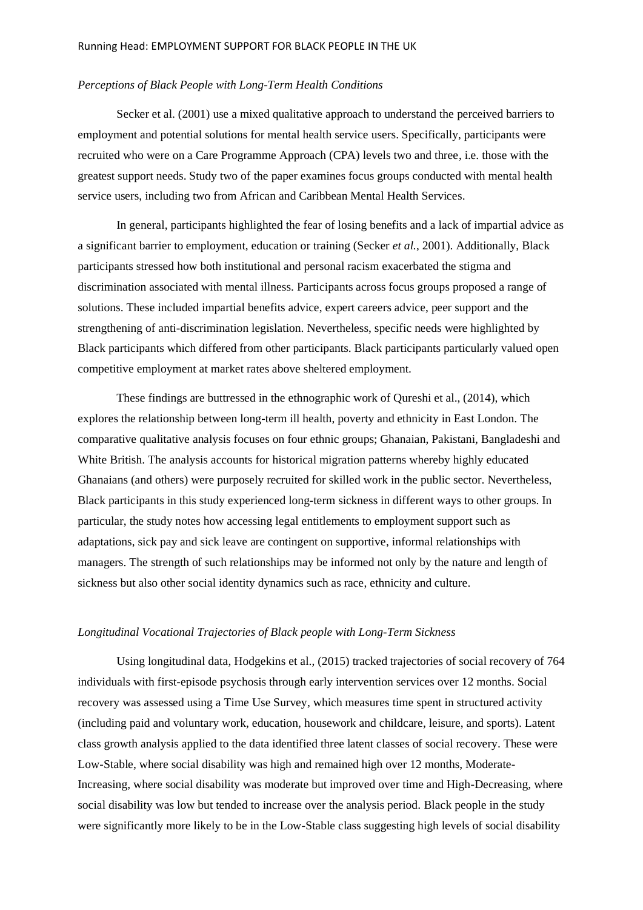#### *Perceptions of Black People with Long-Term Health Conditions*

Secker et al. (2001) use a mixed qualitative approach to understand the perceived barriers to employment and potential solutions for mental health service users. Specifically, participants were recruited who were on a Care Programme Approach (CPA) levels two and three, i.e. those with the greatest support needs. Study two of the paper examines focus groups conducted with mental health service users, including two from African and Caribbean Mental Health Services.

In general, participants highlighted the fear of losing benefits and a lack of impartial advice as a significant barrier to employment, education or training (Secker *et al.*, 2001). Additionally, Black participants stressed how both institutional and personal racism exacerbated the stigma and discrimination associated with mental illness. Participants across focus groups proposed a range of solutions. These included impartial benefits advice, expert careers advice, peer support and the strengthening of anti-discrimination legislation. Nevertheless, specific needs were highlighted by Black participants which differed from other participants. Black participants particularly valued open competitive employment at market rates above sheltered employment.

These findings are buttressed in the ethnographic work of Qureshi et al., (2014), which explores the relationship between long-term ill health, poverty and ethnicity in East London. The comparative qualitative analysis focuses on four ethnic groups; Ghanaian, Pakistani, Bangladeshi and White British. The analysis accounts for historical migration patterns whereby highly educated Ghanaians (and others) were purposely recruited for skilled work in the public sector. Nevertheless, Black participants in this study experienced long-term sickness in different ways to other groups. In particular, the study notes how accessing legal entitlements to employment support such as adaptations, sick pay and sick leave are contingent on supportive, informal relationships with managers. The strength of such relationships may be informed not only by the nature and length of sickness but also other social identity dynamics such as race, ethnicity and culture.

# *Longitudinal Vocational Trajectories of Black people with Long-Term Sickness*

Using longitudinal data, Hodgekins et al., (2015) tracked trajectories of social recovery of 764 individuals with first-episode psychosis through early intervention services over 12 months. Social recovery was assessed using a Time Use Survey, which measures time spent in structured activity (including paid and voluntary work, education, housework and childcare, leisure, and sports). Latent class growth analysis applied to the data identified three latent classes of social recovery. These were Low-Stable, where social disability was high and remained high over 12 months, Moderate-Increasing, where social disability was moderate but improved over time and High-Decreasing, where social disability was low but tended to increase over the analysis period. Black people in the study were significantly more likely to be in the Low-Stable class suggesting high levels of social disability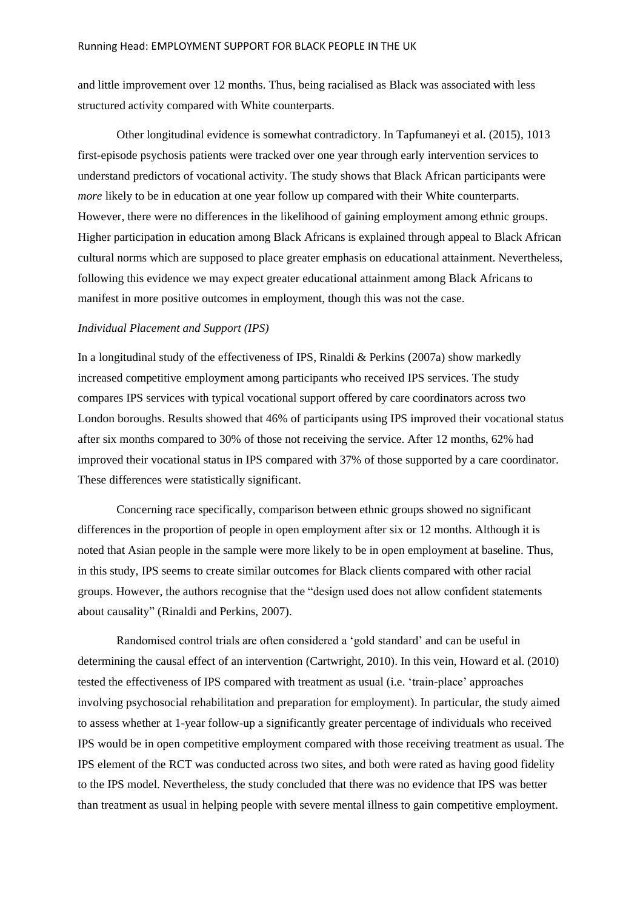and little improvement over 12 months. Thus, being racialised as Black was associated with less structured activity compared with White counterparts.

Other longitudinal evidence is somewhat contradictory. In Tapfumaneyi et al. (2015), 1013 first-episode psychosis patients were tracked over one year through early intervention services to understand predictors of vocational activity. The study shows that Black African participants were *more* likely to be in education at one year follow up compared with their White counterparts. However, there were no differences in the likelihood of gaining employment among ethnic groups. Higher participation in education among Black Africans is explained through appeal to Black African cultural norms which are supposed to place greater emphasis on educational attainment. Nevertheless, following this evidence we may expect greater educational attainment among Black Africans to manifest in more positive outcomes in employment, though this was not the case.

# *Individual Placement and Support (IPS)*

In a longitudinal study of the effectiveness of IPS, Rinaldi & Perkins (2007a) show markedly increased competitive employment among participants who received IPS services. The study compares IPS services with typical vocational support offered by care coordinators across two London boroughs. Results showed that 46% of participants using IPS improved their vocational status after six months compared to 30% of those not receiving the service. After 12 months, 62% had improved their vocational status in IPS compared with 37% of those supported by a care coordinator. These differences were statistically significant.

Concerning race specifically, comparison between ethnic groups showed no significant differences in the proportion of people in open employment after six or 12 months. Although it is noted that Asian people in the sample were more likely to be in open employment at baseline. Thus, in this study, IPS seems to create similar outcomes for Black clients compared with other racial groups. However, the authors recognise that the "design used does not allow confident statements about causality" (Rinaldi and Perkins, 2007).

Randomised control trials are often considered a 'gold standard' and can be useful in determining the causal effect of an intervention (Cartwright, 2010). In this vein, Howard et al. (2010) tested the effectiveness of IPS compared with treatment as usual (i.e. 'train-place' approaches involving psychosocial rehabilitation and preparation for employment). In particular, the study aimed to assess whether at 1-year follow-up a significantly greater percentage of individuals who received IPS would be in open competitive employment compared with those receiving treatment as usual. The IPS element of the RCT was conducted across two sites, and both were rated as having good fidelity to the IPS model. Nevertheless, the study concluded that there was no evidence that IPS was better than treatment as usual in helping people with severe mental illness to gain competitive employment.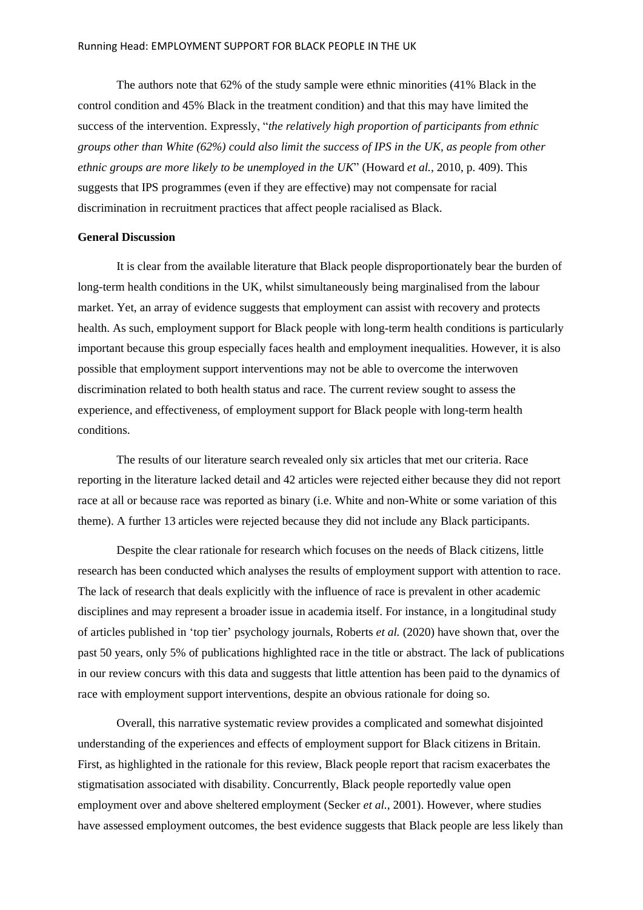The authors note that 62% of the study sample were ethnic minorities (41% Black in the control condition and 45% Black in the treatment condition) and that this may have limited the success of the intervention. Expressly, "*the relatively high proportion of participants from ethnic groups other than White (62%) could also limit the success of IPS in the UK, as people from other ethnic groups are more likely to be unemployed in the UK*" (Howard *et al.*, 2010, p. 409). This suggests that IPS programmes (even if they are effective) may not compensate for racial discrimination in recruitment practices that affect people racialised as Black.

# **General Discussion**

It is clear from the available literature that Black people disproportionately bear the burden of long-term health conditions in the UK, whilst simultaneously being marginalised from the labour market. Yet, an array of evidence suggests that employment can assist with recovery and protects health. As such, employment support for Black people with long-term health conditions is particularly important because this group especially faces health and employment inequalities. However, it is also possible that employment support interventions may not be able to overcome the interwoven discrimination related to both health status and race. The current review sought to assess the experience, and effectiveness, of employment support for Black people with long-term health conditions.

The results of our literature search revealed only six articles that met our criteria. Race reporting in the literature lacked detail and 42 articles were rejected either because they did not report race at all or because race was reported as binary (i.e. White and non-White or some variation of this theme). A further 13 articles were rejected because they did not include any Black participants.

Despite the clear rationale for research which focuses on the needs of Black citizens, little research has been conducted which analyses the results of employment support with attention to race. The lack of research that deals explicitly with the influence of race is prevalent in other academic disciplines and may represent a broader issue in academia itself. For instance, in a longitudinal study of articles published in 'top tier' psychology journals, Roberts *et al.* (2020) have shown that, over the past 50 years, only 5% of publications highlighted race in the title or abstract. The lack of publications in our review concurs with this data and suggests that little attention has been paid to the dynamics of race with employment support interventions, despite an obvious rationale for doing so.

Overall, this narrative systematic review provides a complicated and somewhat disjointed understanding of the experiences and effects of employment support for Black citizens in Britain. First, as highlighted in the rationale for this review, Black people report that racism exacerbates the stigmatisation associated with disability. Concurrently, Black people reportedly value open employment over and above sheltered employment (Secker *et al.*, 2001). However, where studies have assessed employment outcomes, the best evidence suggests that Black people are less likely than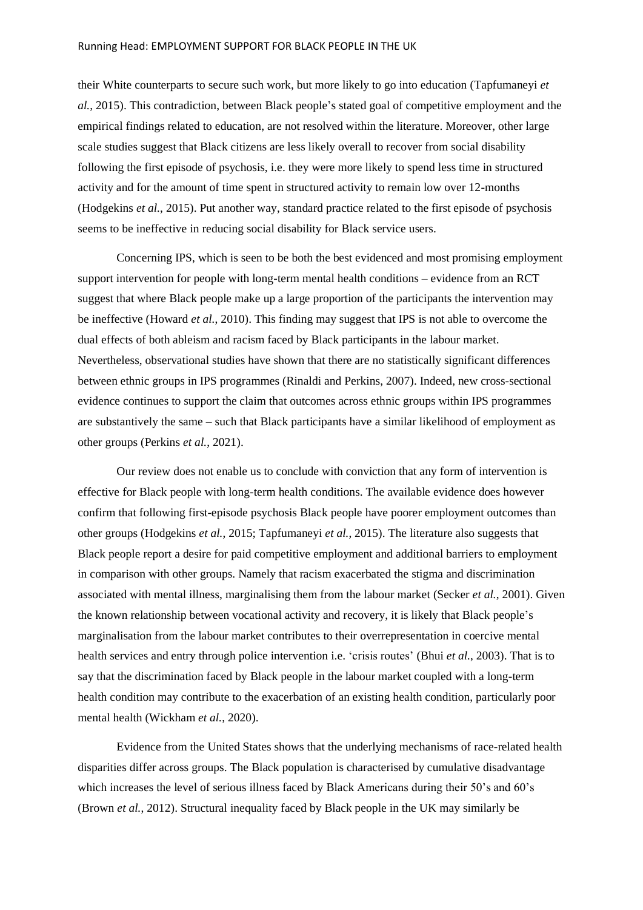#### Running Head: EMPLOYMENT SUPPORT FOR BLACK PEOPLE IN THE UK

their White counterparts to secure such work, but more likely to go into education (Tapfumaneyi *et al.*, 2015). This contradiction, between Black people's stated goal of competitive employment and the empirical findings related to education, are not resolved within the literature. Moreover, other large scale studies suggest that Black citizens are less likely overall to recover from social disability following the first episode of psychosis, i.e. they were more likely to spend less time in structured activity and for the amount of time spent in structured activity to remain low over 12-months (Hodgekins *et al.*, 2015). Put another way, standard practice related to the first episode of psychosis seems to be ineffective in reducing social disability for Black service users.

Concerning IPS, which is seen to be both the best evidenced and most promising employment support intervention for people with long-term mental health conditions – evidence from an RCT suggest that where Black people make up a large proportion of the participants the intervention may be ineffective (Howard *et al.*, 2010). This finding may suggest that IPS is not able to overcome the dual effects of both ableism and racism faced by Black participants in the labour market. Nevertheless, observational studies have shown that there are no statistically significant differences between ethnic groups in IPS programmes (Rinaldi and Perkins, 2007). Indeed, new cross-sectional evidence continues to support the claim that outcomes across ethnic groups within IPS programmes are substantively the same – such that Black participants have a similar likelihood of employment as other groups (Perkins *et al.*, 2021).

Our review does not enable us to conclude with conviction that any form of intervention is effective for Black people with long-term health conditions. The available evidence does however confirm that following first-episode psychosis Black people have poorer employment outcomes than other groups (Hodgekins *et al.*, 2015; Tapfumaneyi *et al.*, 2015). The literature also suggests that Black people report a desire for paid competitive employment and additional barriers to employment in comparison with other groups. Namely that racism exacerbated the stigma and discrimination associated with mental illness, marginalising them from the labour market (Secker *et al.*, 2001). Given the known relationship between vocational activity and recovery, it is likely that Black people's marginalisation from the labour market contributes to their overrepresentation in coercive mental health services and entry through police intervention i.e. 'crisis routes' (Bhui *et al.*, 2003). That is to say that the discrimination faced by Black people in the labour market coupled with a long-term health condition may contribute to the exacerbation of an existing health condition, particularly poor mental health (Wickham *et al.*, 2020).

Evidence from the United States shows that the underlying mechanisms of race-related health disparities differ across groups. The Black population is characterised by cumulative disadvantage which increases the level of serious illness faced by Black Americans during their 50's and 60's (Brown *et al.*, 2012). Structural inequality faced by Black people in the UK may similarly be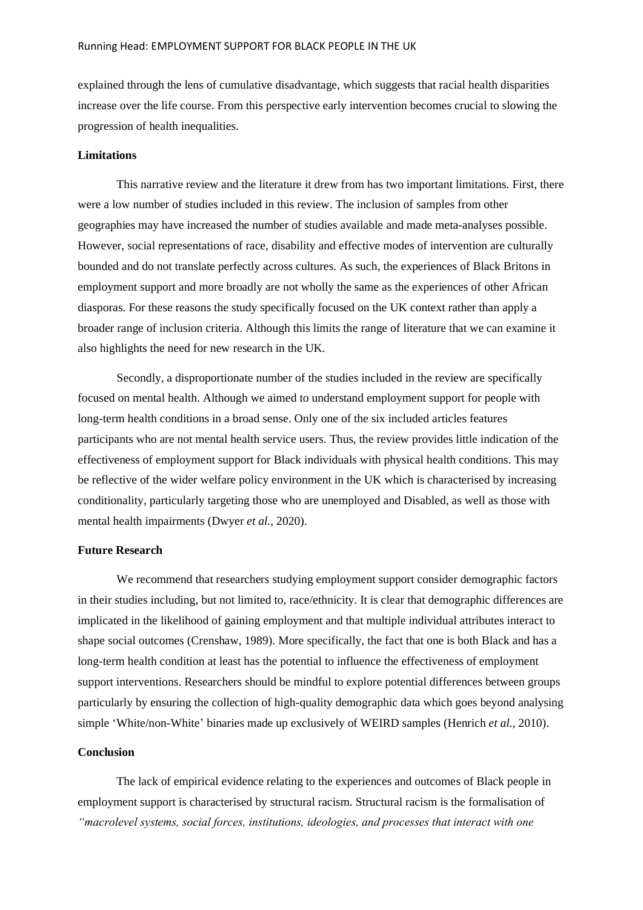explained through the lens of cumulative disadvantage, which suggests that racial health disparities increase over the life course. From this perspective early intervention becomes crucial to slowing the progression of health inequalities.

#### **Limitations**

This narrative review and the literature it drew from has two important limitations. First, there were a low number of studies included in this review. The inclusion of samples from other geographies may have increased the number of studies available and made meta-analyses possible. However, social representations of race, disability and effective modes of intervention are culturally bounded and do not translate perfectly across cultures. As such, the experiences of Black Britons in employment support and more broadly are not wholly the same as the experiences of other African diasporas. For these reasons the study specifically focused on the UK context rather than apply a broader range of inclusion criteria. Although this limits the range of literature that we can examine it also highlights the need for new research in the UK.

Secondly, a disproportionate number of the studies included in the review are specifically focused on mental health. Although we aimed to understand employment support for people with long-term health conditions in a broad sense. Only one of the six included articles features participants who are not mental health service users. Thus, the review provides little indication of the effectiveness of employment support for Black individuals with physical health conditions. This may be reflective of the wider welfare policy environment in the UK which is characterised by increasing conditionality, particularly targeting those who are unemployed and Disabled, as well as those with mental health impairments (Dwyer *et al.*, 2020).

# **Future Research**

We recommend that researchers studying employment support consider demographic factors in their studies including, but not limited to, race/ethnicity. It is clear that demographic differences are implicated in the likelihood of gaining employment and that multiple individual attributes interact to shape social outcomes (Crenshaw, 1989). More specifically, the fact that one is both Black and has a long-term health condition at least has the potential to influence the effectiveness of employment support interventions. Researchers should be mindful to explore potential differences between groups particularly by ensuring the collection of high-quality demographic data which goes beyond analysing simple 'White/non-White' binaries made up exclusively of WEIRD samples (Henrich *et al.*, 2010).

# **Conclusion**

The lack of empirical evidence relating to the experiences and outcomes of Black people in employment support is characterised by structural racism. Structural racism is the formalisation of *"macrolevel systems, social forces, institutions, ideologies, and processes that interact with one*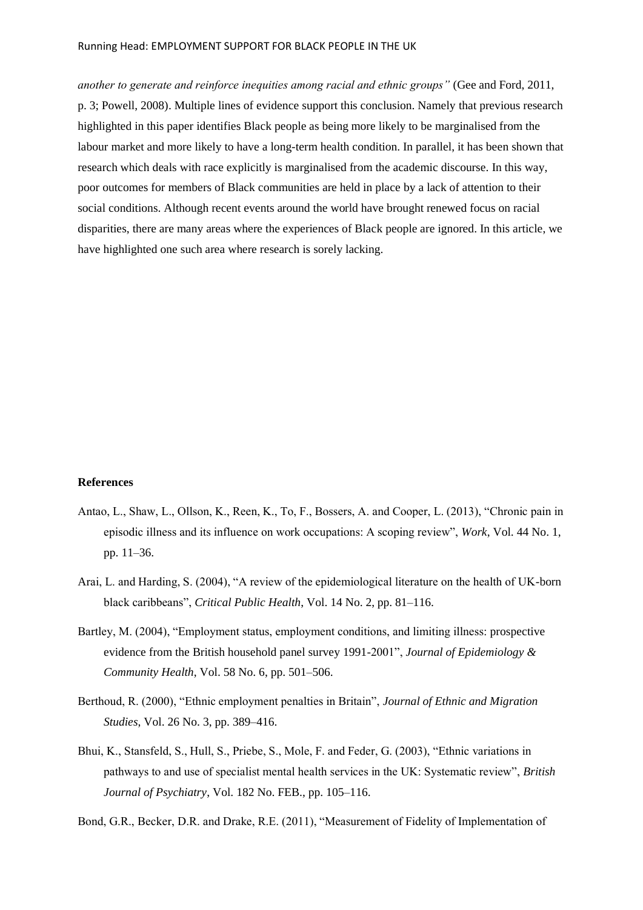#### Running Head: EMPLOYMENT SUPPORT FOR BLACK PEOPLE IN THE UK

*another to generate and reinforce inequities among racial and ethnic groups"* (Gee and Ford, 2011, p. 3; Powell, 2008). Multiple lines of evidence support this conclusion. Namely that previous research highlighted in this paper identifies Black people as being more likely to be marginalised from the labour market and more likely to have a long-term health condition. In parallel, it has been shown that research which deals with race explicitly is marginalised from the academic discourse. In this way, poor outcomes for members of Black communities are held in place by a lack of attention to their social conditions. Although recent events around the world have brought renewed focus on racial disparities, there are many areas where the experiences of Black people are ignored. In this article, we have highlighted one such area where research is sorely lacking.

#### **References**

- Antao, L., Shaw, L., Ollson, K., Reen, K., To, F., Bossers, A. and Cooper, L. (2013), "Chronic pain in episodic illness and its influence on work occupations: A scoping review", *Work*, Vol. 44 No. 1, pp. 11–36.
- Arai, L. and Harding, S. (2004), "A review of the epidemiological literature on the health of UK-born black caribbeans", *Critical Public Health*, Vol. 14 No. 2, pp. 81–116.
- Bartley, M. (2004), "Employment status, employment conditions, and limiting illness: prospective evidence from the British household panel survey 1991-2001", *Journal of Epidemiology & Community Health*, Vol. 58 No. 6, pp. 501–506.
- Berthoud, R. (2000), "Ethnic employment penalties in Britain", *Journal of Ethnic and Migration Studies*, Vol. 26 No. 3, pp. 389–416.
- Bhui, K., Stansfeld, S., Hull, S., Priebe, S., Mole, F. and Feder, G. (2003), "Ethnic variations in pathways to and use of specialist mental health services in the UK: Systematic review", *British Journal of Psychiatry*, Vol. 182 No. FEB., pp. 105–116.

Bond, G.R., Becker, D.R. and Drake, R.E. (2011), "Measurement of Fidelity of Implementation of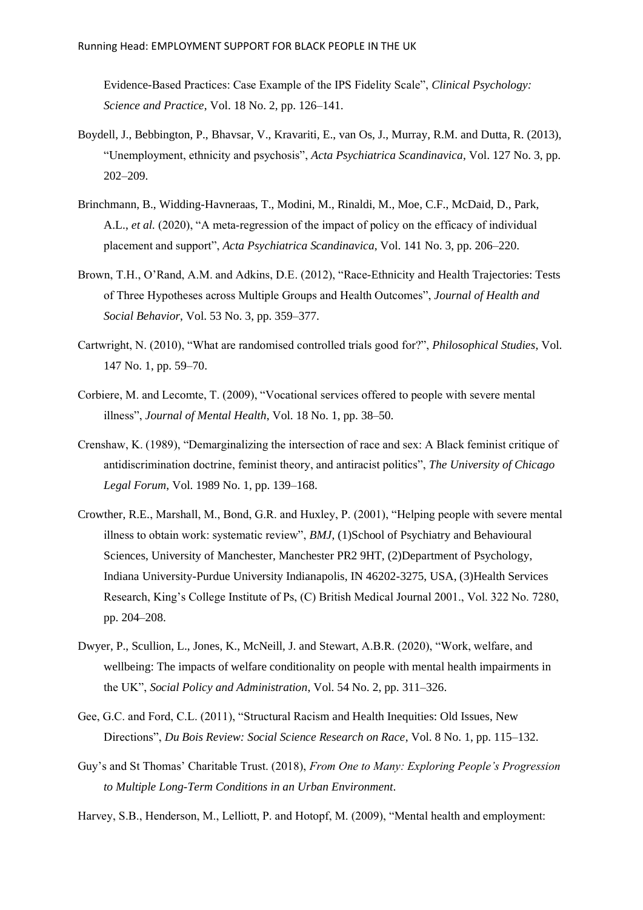Evidence-Based Practices: Case Example of the IPS Fidelity Scale", *Clinical Psychology: Science and Practice*, Vol. 18 No. 2, pp. 126–141.

- Boydell, J., Bebbington, P., Bhavsar, V., Kravariti, E., van Os, J., Murray, R.M. and Dutta, R. (2013), "Unemployment, ethnicity and psychosis", *Acta Psychiatrica Scandinavica*, Vol. 127 No. 3, pp. 202–209.
- Brinchmann, B., Widding-Havneraas, T., Modini, M., Rinaldi, M., Moe, C.F., McDaid, D., Park, A.L., *et al.* (2020), "A meta‐regression of the impact of policy on the efficacy of individual placement and support", *Acta Psychiatrica Scandinavica*, Vol. 141 No. 3, pp. 206–220.
- Brown, T.H., O'Rand, A.M. and Adkins, D.E. (2012), "Race-Ethnicity and Health Trajectories: Tests of Three Hypotheses across Multiple Groups and Health Outcomes", *Journal of Health and Social Behavior*, Vol. 53 No. 3, pp. 359–377.
- Cartwright, N. (2010), "What are randomised controlled trials good for?", *Philosophical Studies*, Vol. 147 No. 1, pp. 59–70.
- Corbiere, M. and Lecomte, T. (2009), "Vocational services offered to people with severe mental illness", *Journal of Mental Health*, Vol. 18 No. 1, pp. 38–50.
- Crenshaw, K. (1989), "Demarginalizing the intersection of race and sex: A Black feminist critique of antidiscrimination doctrine, feminist theory, and antiracist politics", *The University of Chicago Legal Forum*, Vol. 1989 No. 1, pp. 139–168.
- Crowther, R.E., Marshall, M., Bond, G.R. and Huxley, P. (2001), "Helping people with severe mental illness to obtain work: systematic review", *BMJ*, (1)School of Psychiatry and Behavioural Sciences, University of Manchester, Manchester PR2 9HT, (2)Department of Psychology, Indiana University-Purdue University Indianapolis, IN 46202-3275, USA, (3)Health Services Research, King's College Institute of Ps, (C) British Medical Journal 2001., Vol. 322 No. 7280, pp. 204–208.
- Dwyer, P., Scullion, L., Jones, K., McNeill, J. and Stewart, A.B.R. (2020), "Work, welfare, and wellbeing: The impacts of welfare conditionality on people with mental health impairments in the UK", *Social Policy and Administration*, Vol. 54 No. 2, pp. 311–326.
- Gee, G.C. and Ford, C.L. (2011), "Structural Racism and Health Inequities: Old Issues, New Directions", *Du Bois Review: Social Science Research on Race*, Vol. 8 No. 1, pp. 115–132.
- Guy's and St Thomas' Charitable Trust. (2018), *From One to Many: Exploring People's Progression to Multiple Long-Term Conditions in an Urban Environment*.
- Harvey, S.B., Henderson, M., Lelliott, P. and Hotopf, M. (2009), "Mental health and employment: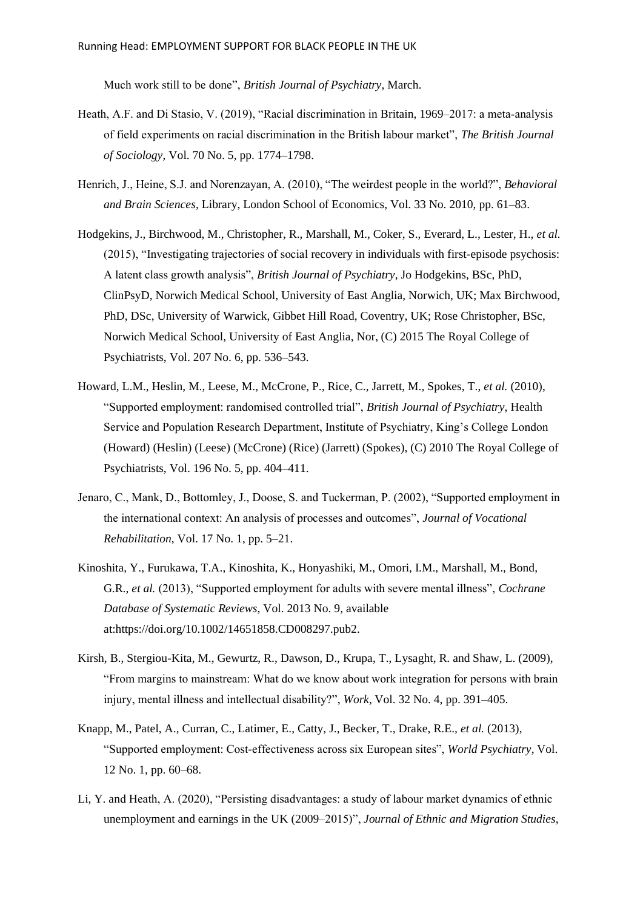Much work still to be done", *British Journal of Psychiatry*, March.

- Heath, A.F. and Di Stasio, V. (2019), "Racial discrimination in Britain, 1969–2017: a meta-analysis of field experiments on racial discrimination in the British labour market", *The British Journal of Sociology*, Vol. 70 No. 5, pp. 1774–1798.
- Henrich, J., Heine, S.J. and Norenzayan, A. (2010), "The weirdest people in the world?", *Behavioral and Brain Sciences*, Library, London School of Economics, Vol. 33 No. 2010, pp. 61–83.
- Hodgekins, J., Birchwood, M., Christopher, R., Marshall, M., Coker, S., Everard, L., Lester, H., *et al.* (2015), "Investigating trajectories of social recovery in individuals with first-episode psychosis: A latent class growth analysis", *British Journal of Psychiatry*, Jo Hodgekins, BSc, PhD, ClinPsyD, Norwich Medical School, University of East Anglia, Norwich, UK; Max Birchwood, PhD, DSc, University of Warwick, Gibbet Hill Road, Coventry, UK; Rose Christopher, BSc, Norwich Medical School, University of East Anglia, Nor, (C) 2015 The Royal College of Psychiatrists, Vol. 207 No. 6, pp. 536–543.
- Howard, L.M., Heslin, M., Leese, M., McCrone, P., Rice, C., Jarrett, M., Spokes, T., *et al.* (2010), "Supported employment: randomised controlled trial", *British Journal of Psychiatry*, Health Service and Population Research Department, Institute of Psychiatry, King's College London (Howard) (Heslin) (Leese) (McCrone) (Rice) (Jarrett) (Spokes), (C) 2010 The Royal College of Psychiatrists, Vol. 196 No. 5, pp. 404–411.
- Jenaro, C., Mank, D., Bottomley, J., Doose, S. and Tuckerman, P. (2002), "Supported employment in the international context: An analysis of processes and outcomes", *Journal of Vocational Rehabilitation*, Vol. 17 No. 1, pp. 5–21.
- Kinoshita, Y., Furukawa, T.A., Kinoshita, K., Honyashiki, M., Omori, I.M., Marshall, M., Bond, G.R., *et al.* (2013), "Supported employment for adults with severe mental illness", *Cochrane Database of Systematic Reviews*, Vol. 2013 No. 9, available at:https://doi.org/10.1002/14651858.CD008297.pub2.
- Kirsh, B., Stergiou-Kita, M., Gewurtz, R., Dawson, D., Krupa, T., Lysaght, R. and Shaw, L. (2009), "From margins to mainstream: What do we know about work integration for persons with brain injury, mental illness and intellectual disability?", *Work*, Vol. 32 No. 4, pp. 391–405.
- Knapp, M., Patel, A., Curran, C., Latimer, E., Catty, J., Becker, T., Drake, R.E., *et al.* (2013), "Supported employment: Cost-effectiveness across six European sites", *World Psychiatry*, Vol. 12 No. 1, pp. 60–68.
- Li, Y. and Heath, A. (2020), "Persisting disadvantages: a study of labour market dynamics of ethnic unemployment and earnings in the UK (2009–2015)", *Journal of Ethnic and Migration Studies*,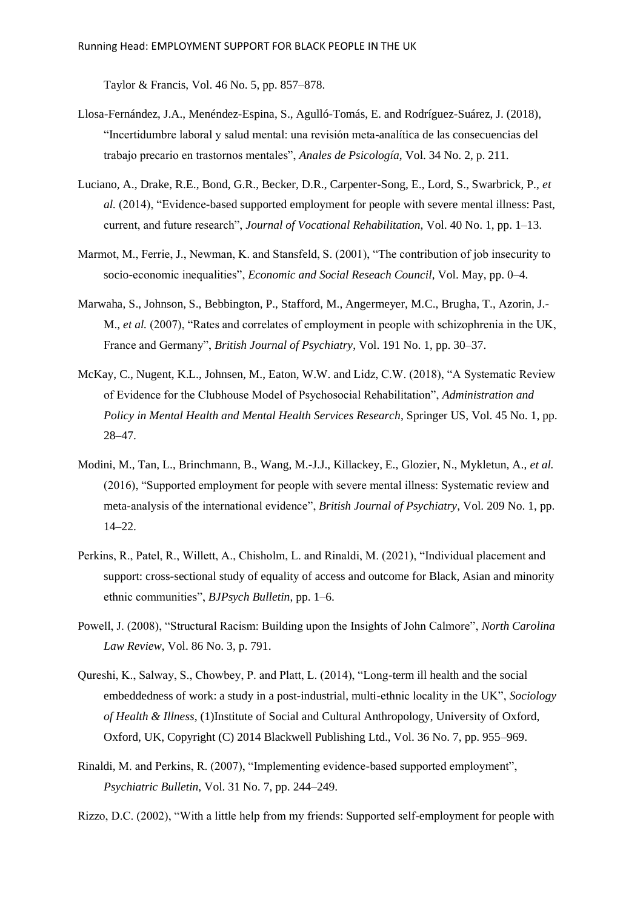Taylor & Francis, Vol. 46 No. 5, pp. 857–878.

- Llosa-Fernández, J.A., Menéndez-Espina, S., Agulló-Tomás, E. and Rodríguez-Suárez, J. (2018), "Incertidumbre laboral y salud mental: una revisión meta-analítica de las consecuencias del trabajo precario en trastornos mentales", *Anales de Psicología*, Vol. 34 No. 2, p. 211.
- Luciano, A., Drake, R.E., Bond, G.R., Becker, D.R., Carpenter-Song, E., Lord, S., Swarbrick, P., *et al.* (2014), "Evidence-based supported employment for people with severe mental illness: Past, current, and future research", *Journal of Vocational Rehabilitation*, Vol. 40 No. 1, pp. 1–13.
- Marmot, M., Ferrie, J., Newman, K. and Stansfeld, S. (2001), "The contribution of job insecurity to socio-economic inequalities", *Economic and Social Reseach Council*, Vol. May, pp. 0–4.
- Marwaha, S., Johnson, S., Bebbington, P., Stafford, M., Angermeyer, M.C., Brugha, T., Azorin, J.- M., *et al.* (2007), "Rates and correlates of employment in people with schizophrenia in the UK, France and Germany", *British Journal of Psychiatry*, Vol. 191 No. 1, pp. 30–37.
- McKay, C., Nugent, K.L., Johnsen, M., Eaton, W.W. and Lidz, C.W. (2018), "A Systematic Review of Evidence for the Clubhouse Model of Psychosocial Rehabilitation", *Administration and Policy in Mental Health and Mental Health Services Research*, Springer US, Vol. 45 No. 1, pp. 28–47.
- Modini, M., Tan, L., Brinchmann, B., Wang, M.-J.J., Killackey, E., Glozier, N., Mykletun, A., *et al.* (2016), "Supported employment for people with severe mental illness: Systematic review and meta-analysis of the international evidence", *British Journal of Psychiatry*, Vol. 209 No. 1, pp. 14–22.
- Perkins, R., Patel, R., Willett, A., Chisholm, L. and Rinaldi, M. (2021), "Individual placement and support: cross-sectional study of equality of access and outcome for Black, Asian and minority ethnic communities", *BJPsych Bulletin*, pp. 1–6.
- Powell, J. (2008), "Structural Racism: Building upon the Insights of John Calmore", *North Carolina Law Review*, Vol. 86 No. 3, p. 791.
- Qureshi, K., Salway, S., Chowbey, P. and Platt, L. (2014), "Long-term ill health and the social embeddedness of work: a study in a post-industrial, multi-ethnic locality in the UK", *Sociology of Health & Illness*, (1)Institute of Social and Cultural Anthropology, University of Oxford, Oxford, UK, Copyright (C) 2014 Blackwell Publishing Ltd., Vol. 36 No. 7, pp. 955–969.
- Rinaldi, M. and Perkins, R. (2007), "Implementing evidence-based supported employment", *Psychiatric Bulletin*, Vol. 31 No. 7, pp. 244–249.

Rizzo, D.C. (2002), "With a little help from my friends: Supported self-employment for people with